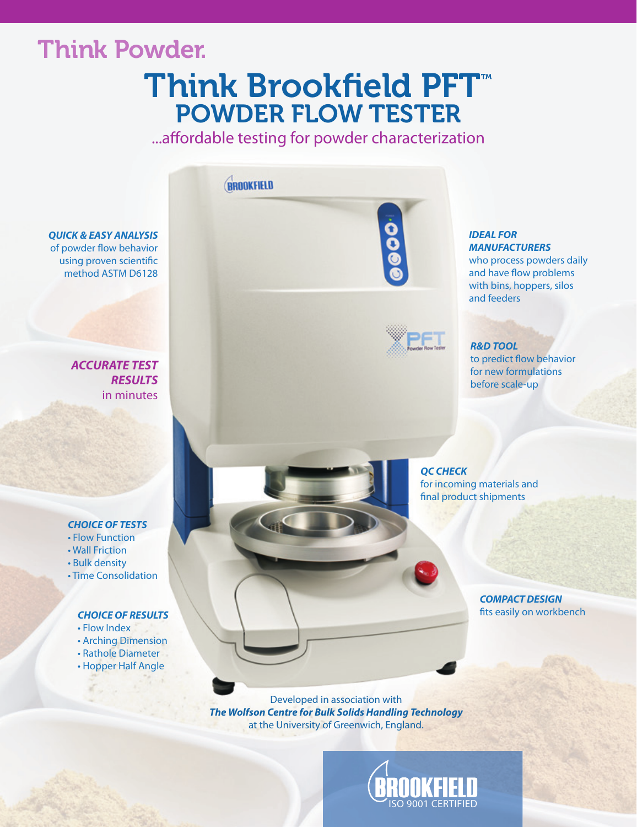## Think Powder.

## Think Brookfield PFT™ POWDER FLOW TESTER

...affordable testing for powder characterization



#### *CHOICE OF TESTS*

- Flow Function
- Wall Friction
- Bulk density
- Time Consolidation

#### *CHOICE OF RESULTS*

- Flow Index
- Arching Dimension
- Rathole Diameter
- Hopper Half Angle

*QC CHECK* for incoming materials and final product shipments

> *COMPACT DESIGN* fits easily on workbench

Developed in association with *The Wolfson Centre for Bulk Solids Handling Technology*  at the University of Greenwich, England.

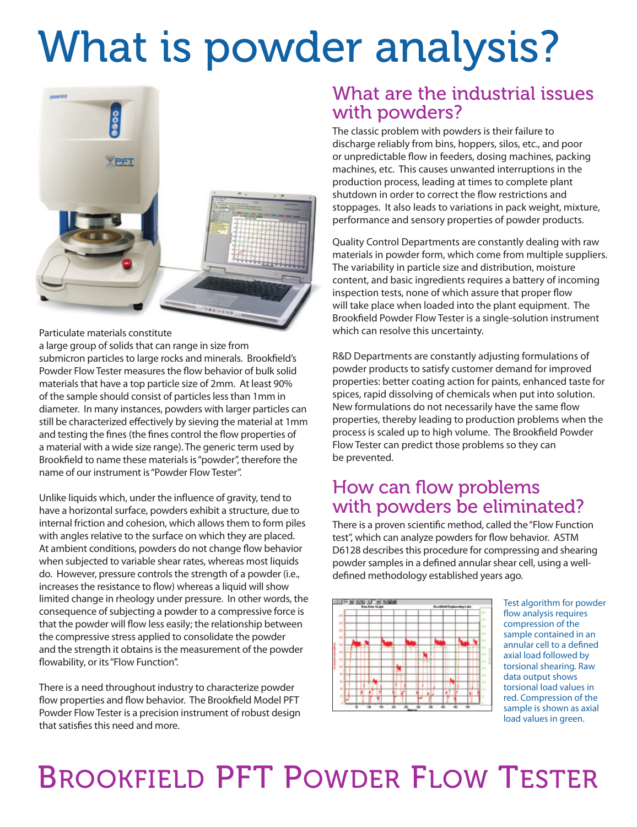# What is powder analysis?



Particulate materials constitute

a large group of solids that can range in size from submicron particles to large rocks and minerals. Brookfield's Powder Flow Tester measures the flow behavior of bulk solid materials that have a top particle size of 2mm. At least 90% of the sample should consist of particles less than 1mm in diameter. In many instances, powders with larger particles can still be characterized effectively by sieving the material at 1mm and testing the fines (the fines control the flow properties of a material with a wide size range). The generic term used by Brookfield to name these materials is "powder", therefore the name of our instrument is "Powder Flow Tester".

Unlike liquids which, under the influence of gravity, tend to have a horizontal surface, powders exhibit a structure, due to internal friction and cohesion, which allows them to form piles with angles relative to the surface on which they are placed. At ambient conditions, powders do not change flow behavior when subjected to variable shear rates, whereas most liquids do. However, pressure controls the strength of a powder (i.e., increases the resistance to flow) whereas a liquid will show limited change in rheology under pressure. In other words, the consequence of subjecting a powder to a compressive force is that the powder will flow less easily; the relationship between the compressive stress applied to consolidate the powder and the strength it obtains is the measurement of the powder flowability, or its "Flow Function".

There is a need throughout industry to characterize powder flow properties and flow behavior. The Brookfield Model PFT Powder Flow Tester is a precision instrument of robust design that satisfies this need and more.

## What are the industrial issues with powders?

The classic problem with powders is their failure to discharge reliably from bins, hoppers, silos, etc., and poor or unpredictable flow in feeders, dosing machines, packing machines, etc. This causes unwanted interruptions in the production process, leading at times to complete plant shutdown in order to correct the flow restrictions and stoppages. It also leads to variations in pack weight, mixture, performance and sensory properties of powder products.

Quality Control Departments are constantly dealing with raw materials in powder form, which come from multiple suppliers. The variability in particle size and distribution, moisture content, and basic ingredients requires a battery of incoming inspection tests, none of which assure that proper flow will take place when loaded into the plant equipment. The Brookfield Powder Flow Tester is a single-solution instrument which can resolve this uncertainty.

R&D Departments are constantly adjusting formulations of powder products to satisfy customer demand for improved properties: better coating action for paints, enhanced taste for spices, rapid dissolving of chemicals when put into solution. New formulations do not necessarily have the same flow properties, thereby leading to production problems when the process is scaled up to high volume. The Brookfield Powder Flow Tester can predict those problems so they can be prevented.

## How can flow problems with powders be eliminated?

There is a proven scientific method, called the "Flow Function test", which can analyze powders for flow behavior. ASTM D6128 describes this procedure for compressing and shearing powder samples in a defined annular shear cell, using a welldefined methodology established years ago.



Test algorithm for powder flow analysis requires compression of the sample contained in an annular cell to a defined axial load followed by torsional shearing. Raw data output shows torsional load values in red. Compression of the sample is shown as axial load values in green.

## BROOKFIELD PFT POWDER FLOW TESTER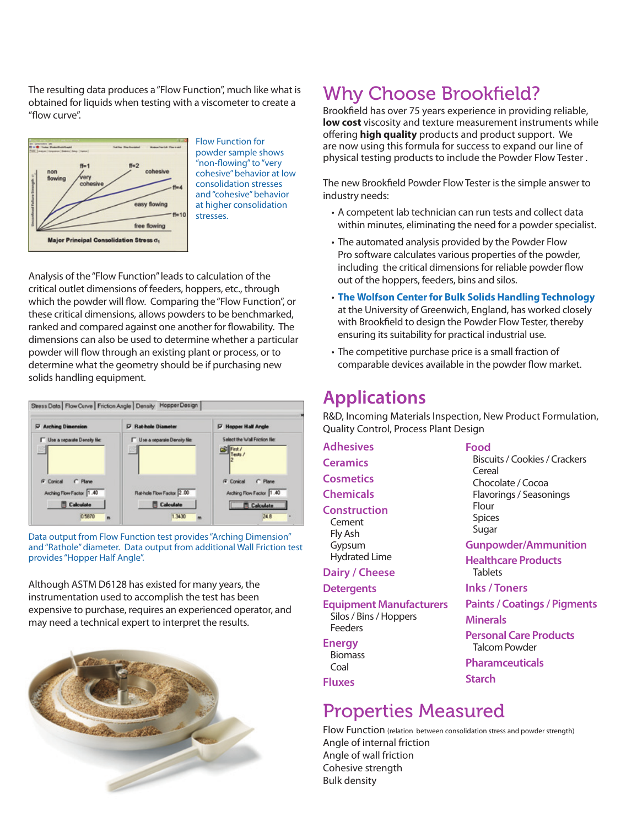The resulting data produces a "Flow Function", much like what is obtained for liquids when testing with a viscometer to create a "flow curve".



Flow Function for powder sample shows "non-flowing" to "very cohesive" behavior at low consolidation stresses and "cohesive" behavior at higher consolidation stresses.

Analysis of the "Flow Function" leads to calculation of the critical outlet dimensions of feeders, hoppers, etc., through which the powder will flow. Comparing the "Flow Function", or these critical dimensions, allows powders to be benchmarked, ranked and compared against one another for flowability. The dimensions can also be used to determine whether a particular powder will flow through an existing plant or process, or to determine what the geometry should be if purchasing new solids handling equipment.



Data output from Flow Function test provides "Arching Dimension" and "Rathole" diameter. Data output from additional Wall Friction test provides "Hopper Half Angle".

Although ASTM D6128 has existed for many years, the instrumentation used to accomplish the test has been expensive to purchase, requires an experienced operator, and may need a technical expert to interpret the results.



## Why Choose Brookfield?

Brookfield has over 75 years experience in providing reliable, **low cost** viscosity and texture measurement instruments while offering **high quality** products and product support. We are now using this formula for success to expand our line of physical testing products to include the Powder Flow Tester .

The new Brookfield Powder Flow Tester is the simple answer to industry needs:

- A competent lab technician can run tests and collect data within minutes, eliminating the need for a powder specialist.
- The automated analysis provided by the Powder Flow Pro software calculates various properties of the powder, including the critical dimensions for reliable powder flow out of the hoppers, feeders, bins and silos.
- **The Wolfson Center for Bulk Solids Handling Technology**  at the University of Greenwich, England, has worked closely with Brookfield to design the Powder Flow Tester, thereby ensuring its suitability for practical industrial use.
- The competitive purchase price is a small fraction of comparable devices available in the powder flow market.

## **Applications**

R&D, Incoming Materials Inspection, New Product Formulation, Quality Control, Process Plant Design

**Adhesives Ceramics Cosmetics**

**Chemicals**

#### **Construction**

Cement Fly Ash Gypsum Hydrated Lime

#### **Dairy / Cheese**

#### **Detergents**

**Equipment Manufacturers** Silos / Bins / Hoppers Feeders

#### **Energy**

Biomass Coal

**Fluxes**

## Properties Measured

Flow Function (relation between consolidation stress and powder strength) Angle of internal friction Angle of wall friction Cohesive strength Bulk density

**Food**

Biscuits / Cookies / Crackers Cereal Chocolate / Cocoa Flavorings / Seasonings Flour Spices Sugar

**Gunpowder/Ammunition**

**Healthcare Products Tablets** 

**Inks / Toners**

**Paints / Coatings / Pigments**

**Minerals**

**Starch**

**Personal Care Products** Talcom Powder **Pharamceuticals**